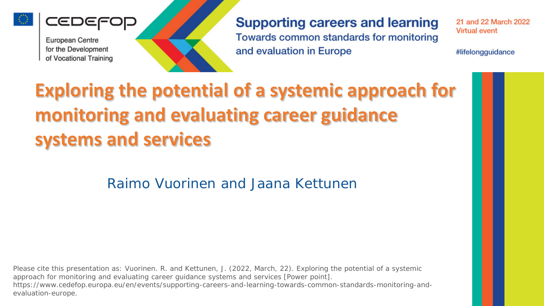

IEDEFOD



**Supporting careers and learning** Towards common standards for monitoring and evaluation in Europe

21 and 22 March 2022 **Virtual event** 

#lifelongguidance

## **Exploring the potential of a systemic approach for monitoring and evaluating career guidance systems and services**

Raimo Vuorinen and Jaana Kettunen

Please cite this presentation as: Vuorinen. R. and Kettunen, J. (2022, March, 22). Exploring the potential of a systemic approach for monitoring and evaluating career guidance systems and services [Power point]. https://www.cedefop.europa.eu/en/events/supporting-careers-and-learning-towards-common-standards-monitoring-andevaluation-europe.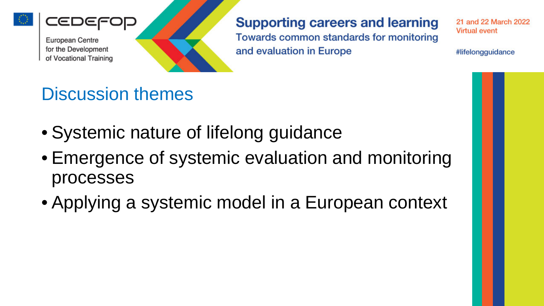

:ED



**Supporting careers and learning** Towards common standards for monitoring and evaluation in Europe

21 and 22 March 2022 **Virtual event** 

#lifelongguidance

### Discussion themes

- Systemic nature of lifelong guidance
- Emergence of systemic evaluation and monitoring processes
- Applying a systemic model in a European context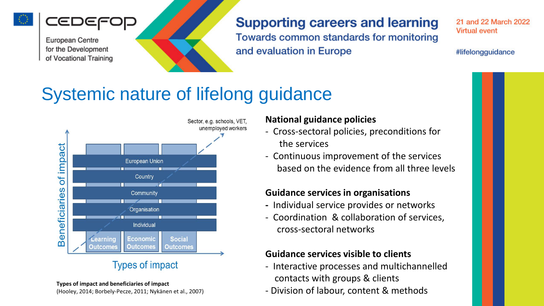



### **Supporting careers and learning**

Towards common standards for monitoring and evaluation in Europe

21 and 22 March 2022 **Virtual event** 

#lifelongguidance

### Systemic nature of lifelong guidance



#### **National guidance policies**

- Cross-sectoral policies, preconditions for the services
- Continuous improvement of the services based on the evidence from all three levels

#### **Guidance services in organisations**

- **-** Individual service provides or networks
- Coordination & collaboration of services, cross-sectoral networks

#### **Guidance services visible to clients**

- Interactive processes and multichannelled contacts with groups & clients
- Division of labour, content & methods

#### **Types of impact and beneficiaries of impact**

(Hooley, 2014; Borbely-Pecze, 2011; Nykänen et al., 2007)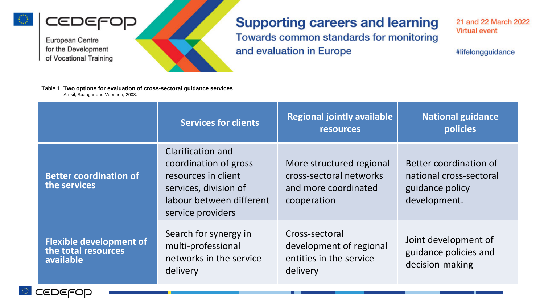

CEDEFOD

#### **Supporting careers and learning**

Towards common standards for monitoring and evaluation in Europe

21 and 22 March 2022 **Virtual event** 

#lifelongguidance

Table 1. Two options for evaluation of cross-sectoral guidance services Arnkil; Spangar and Vuorinen, 2008.

|                                                                    | <b>Services for clients</b>                                                                                                                         | <b>Regional jointly available</b><br><b>resources</b>                                      | <b>National guidance</b><br>policies                                                 |
|--------------------------------------------------------------------|-----------------------------------------------------------------------------------------------------------------------------------------------------|--------------------------------------------------------------------------------------------|--------------------------------------------------------------------------------------|
| <b>Better coordination of</b><br>the services                      | <b>Clarification and</b><br>coordination of gross-<br>resources in client<br>services, division of<br>labour between different<br>service providers | More structured regional<br>cross-sectoral networks<br>and more coordinated<br>cooperation | Better coordination of<br>national cross-sectoral<br>guidance policy<br>development. |
| <b>Flexible development of</b><br>the total resources<br>available | Search for synergy in<br>multi-professional<br>networks in the service<br>delivery                                                                  | Cross-sectoral<br>development of regional<br>entities in the service<br>delivery           | Joint development of<br>guidance policies and<br>decision-making                     |

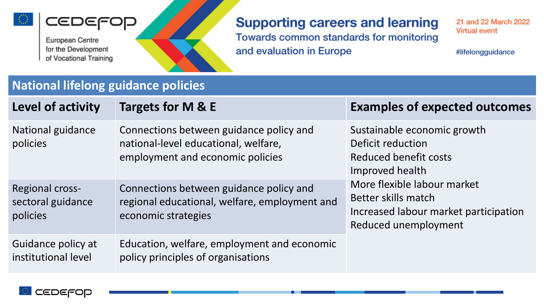





#### **Supporting careers and learning** Towards common standards for monitoring

and evaluation in Europe

21 and 22 March 2022 **Virtual event** 

#lifelongguidance

### National lifelong guidance policies

| Level of activity                                       | Targets for M & E                                                                                                   | <b>Examples of expected outcomes</b>                                                                                                                                                                                |
|---------------------------------------------------------|---------------------------------------------------------------------------------------------------------------------|---------------------------------------------------------------------------------------------------------------------------------------------------------------------------------------------------------------------|
| National guidance<br>policies                           | Connections between guidance policy and<br>national-level educational, welfare,<br>employment and economic policies | Sustainable economic growth<br>Deficit reduction<br>Reduced benefit costs<br>Improved health<br>More flexible labour market<br>Better skills match<br>Increased labour market participation<br>Reduced unemployment |
| <b>Regional cross-</b><br>sectoral guidance<br>policies | Connections between guidance policy and<br>regional educational, welfare, employment and<br>economic strategies     |                                                                                                                                                                                                                     |
| Guidance policy at<br>institutional level               | Education, welfare, employment and economic<br>policy principles of organisations                                   |                                                                                                                                                                                                                     |

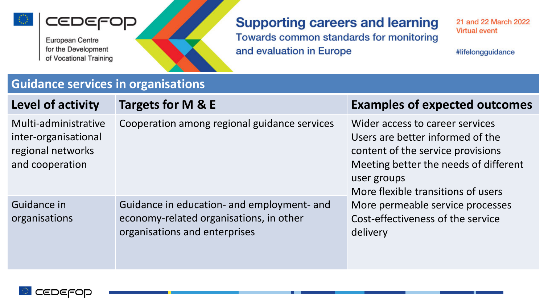





### **Supporting careers and learning**

Towards common standards for monitoring and evaluation in Europe

21 and 22 March 2022 **Virtual event** 

#lifelongguidance

#### **Guidance services in organisations**

| Level of activity                                                                    | Targets for M & E                                                                                                      | <b>Examples of expected outcomes</b>                                                                                                                                                                   |
|--------------------------------------------------------------------------------------|------------------------------------------------------------------------------------------------------------------------|--------------------------------------------------------------------------------------------------------------------------------------------------------------------------------------------------------|
| Multi-administrative<br>inter-organisational<br>regional networks<br>and cooperation | Cooperation among regional guidance services                                                                           | Wider access to career services<br>Users are better informed of the<br>content of the service provisions<br>Meeting better the needs of different<br>user groups<br>More flexible transitions of users |
| Guidance in<br>organisations                                                         | Guidance in education- and employment- and<br>economy-related organisations, in other<br>organisations and enterprises | More permeable service processes<br>Cost-effectiveness of the service<br>delivery                                                                                                                      |

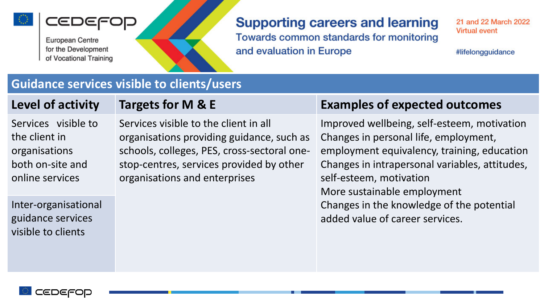





#### **Supporting careers and learning** Towards common standards for monitoring

and evaluation in Europe

21 and 22 March 2022 **Virtual event** 

#lifelongguidance

#### **Guidance services visible to clients/users**

Services visible to the client in organisations both on-site and online services

Inter-organisational

guidance services

visible to clients

Services visible to the client in all organisations providing guidance, such as schools, colleges, PES, cross-sectoral onestop-centres, services provided by other organisations and enterprises

#### **Level of activity Targets for M & E Examples of expected outcomes**

Improved wellbeing, self-esteem, motivation Changes in personal life, employment, employment equivalency, training, education Changes in intrapersonal variables, attitudes, self-esteem, motivation More sustainable employment Changes in the knowledge of the potential added value of career services.

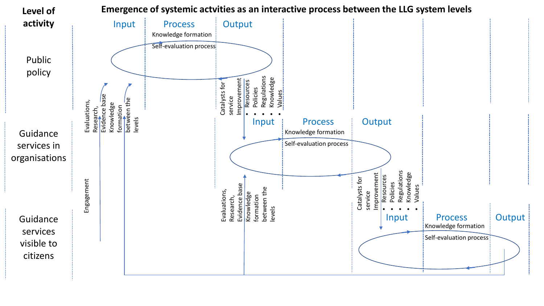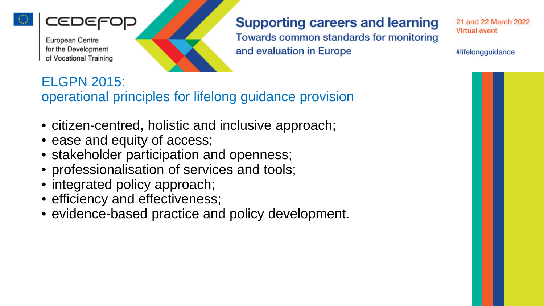





**Supporting careers and learning** Towards common standards for monitoring

21 and 22 March 2022 **Virtual event** 

#lifelongguidance

### ELGPN 2015: operational principles for lifelong guidance provision

- citizen-centred, holistic and inclusive approach;
- ease and equity of access;
- stakeholder participation and openness;
- professionalisation of services and tools;
- integrated policy approach;
- efficiency and effectiveness;
- evidence-based practice and policy development.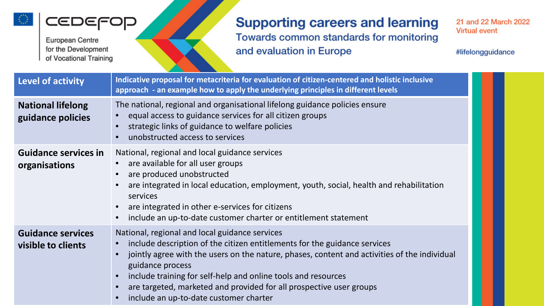



### **Supporting careers and learning** Towards common standards for monitoring and evaluation in Europe

21 and 22 March 2022 **Virtual event** 

#lifelongguidance

| Level of activity                              | Indicative proposal for metacriteria for evaluation of citizen-centered and holistic inclusive<br>approach - an example how to apply the underlying principles in different levels                                                                                                                                                                                                                                                |
|------------------------------------------------|-----------------------------------------------------------------------------------------------------------------------------------------------------------------------------------------------------------------------------------------------------------------------------------------------------------------------------------------------------------------------------------------------------------------------------------|
| <b>National lifelong</b><br>guidance policies  | The national, regional and organisational lifelong guidance policies ensure<br>equal access to guidance services for all citizen groups<br>strategic links of guidance to welfare policies<br>unobstructed access to services                                                                                                                                                                                                     |
| <b>Guidance services in</b><br>organisations   | National, regional and local guidance services<br>are available for all user groups<br>are produced unobstructed<br>are integrated in local education, employment, youth, social, health and rehabilitation<br>services<br>are integrated in other e-services for citizens<br>include an up-to-date customer charter or entitlement statement                                                                                     |
| <b>Guidance services</b><br>visible to clients | National, regional and local guidance services<br>include description of the citizen entitlements for the guidance services<br>jointly agree with the users on the nature, phases, content and activities of the individual<br>guidance process<br>include training for self-help and online tools and resources<br>are targeted, marketed and provided for all prospective user groups<br>include an up-to-date customer charter |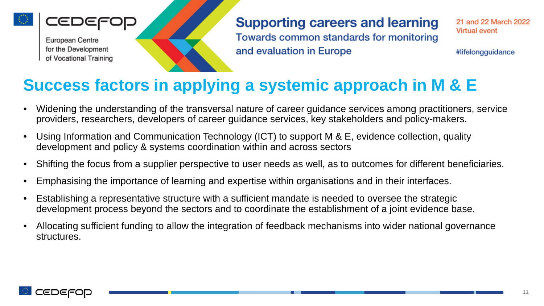



**Supporting careers and learning** Towards common standards for monitoring and evaluation in Europe

21 and 22 March 2022 **Virtual event** 

#lifelongguidance

### **Success factors in applying a systemic approach in M & E**

- Widening the understanding of the transversal nature of career guidance services among practitioners, service providers, researchers, developers of career guidance services, key stakeholders and policy-makers.
- Using Information and Communication Technology (ICT) to support M & E, evidence collection, quality development and policy & systems coordination within and across sectors
- Shifting the focus from a supplier perspective to user needs as well, as to outcomes for different beneficiaries.
- Emphasising the importance of learning and expertise within organisations and in their interfaces.
- Establishing a representative structure with a sufficient mandate is needed to oversee the strategic development process beyond the sectors and to coordinate the establishment of a joint evidence base.
- Allocating sufficient funding to allow the integration of feedback mechanisms into wider national governance structures.

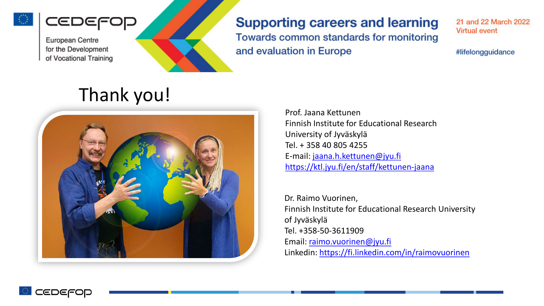





#### **Supporting careers and learning** Towards common standards for monitoring

21 and 22 March 2022 **Virtual event** 

#lifelongguidance

## Thank you!



Prof. Jaana Kettunen Finnish Institute for Educational Research University of Jyväskylä Tel. + 358 40 805 4255 E-mail: [jaana.h.kettunen@jyu.fi](mailto:jaana.h.kettunen@jyu.fi) <https://ktl.jyu.fi/en/staff/kettunen-jaana>

Dr. Raimo Vuorinen, Finnish Institute for Educational Research University of Jyväskylä Tel. +358-50-3611909 Email: [raimo.vuorinen@jyu.fi](mailto:raimo.vuorinen@jyu.fi) Linkedin: <https://fi.linkedin.com/in/raimovuorinen>